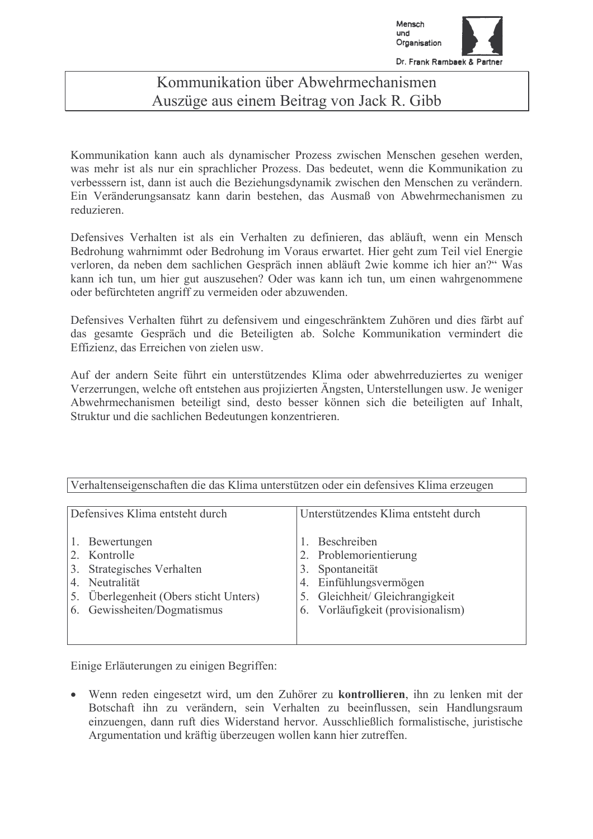

## Kommunikation über Abwehrmechanismen Auszüge aus einem Beitrag von Jack R. Gibb

Kommunikation kann auch als dynamischer Prozess zwischen Menschen gesehen werden, was mehr ist als nur ein sprachlicher Prozess. Das bedeutet, wenn die Kommunikation zu verbesssern ist, dann ist auch die Beziehungsdynamik zwischen den Menschen zu verändern. Ein Veränderungsansatz kann darin bestehen, das Ausmaß von Abwehrmechanismen zu reduzieren.

Defensives Verhalten ist als ein Verhalten zu definieren, das abläuft, wenn ein Mensch Bedrohung wahrnimmt oder Bedrohung im Voraus erwartet. Hier geht zum Teil viel Energie verloren, da neben dem sachlichen Gespräch innen abläuft 2wie komme ich hier an?" Was kann ich tun, um hier gut auszusehen? Oder was kann ich tun, um einen wahrgenommene oder befürchteten angriff zu vermeiden oder abzuwenden.

Defensives Verhalten führt zu defensivem und eingeschränktem Zuhören und dies färbt auf das gesamte Gespräch und die Beteiligten ab. Solche Kommunikation vermindert die Effizienz das Erreichen von zielen usw

Auf der andern Seite führt ein unterstützendes Klima oder abwehrreduziertes zu weniger Verzerrungen, welche oft entstehen aus projizierten Ängsten, Unterstellungen usw. Je weniger Abwehrmechanismen beteiligt sind, desto besser können sich die beteiligten auf Inhalt, Struktur und die sachlichen Bedeutungen konzentrieren.

| Defensives Klima entsteht durch                                                                                                                         | Unterstützendes Klima entsteht durch                                                                                                                 |
|---------------------------------------------------------------------------------------------------------------------------------------------------------|------------------------------------------------------------------------------------------------------------------------------------------------------|
| Bewertungen<br>2. Kontrolle<br>Strategisches Verhalten<br>3.<br>Neutralität<br>4.<br>Überlegenheit (Obers sticht Unters)<br>6. Gewissheiten/Dogmatismus | Beschreiben<br>Problemorientierung<br>Spontaneität<br>4. Einfühlungsvermögen<br>5. Gleichheit/ Gleichrangigkeit<br>6. Vorläufigkeit (provisionalism) |

Verhaltenseigenschaften die das Klima unterstützen oder ein defensives Klima erzeugen

Einige Erläuterungen zu einigen Begriffen:

• Wenn reden eingesetzt wird, um den Zuhörer zu kontrollieren, ihn zu lenken mit der Botschaft ihn zu verändern, sein Verhalten zu beeinflussen, sein Handlungsraum einzuengen, dann ruft dies Widerstand hervor. Ausschließlich formalistische, juristische Argumentation und kräftig überzeugen wollen kann hier zutreffen.